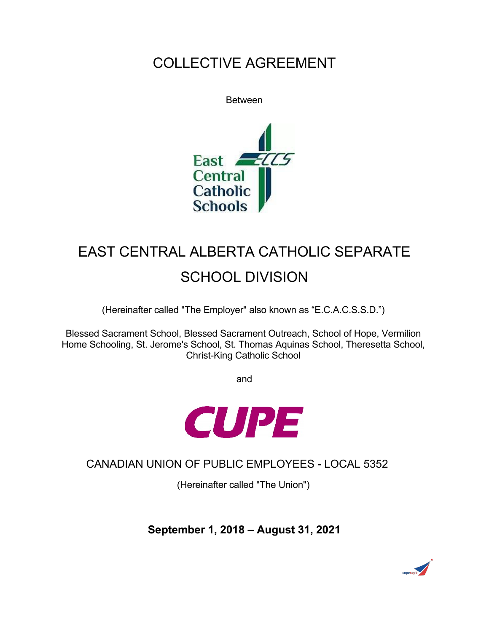# COLLECTIVE AGREEMENT





# EAST CENTRAL ALBERTA CATHOLIC SEPARATE SCHOOL DIVISION

(Hereinafter called "The Employer" also known as "E.C.A.C.S.S.D.")

Blessed Sacrament School, Blessed Sacrament Outreach, School of Hope, Vermilion Home Schooling, St. Jerome's School, St. Thomas Aquinas School, Theresetta School, Christ-King Catholic School

and



CANADIAN UNION OF PUBLIC EMPLOYEES - LOCAL 5352

(Hereinafter called "The Union")

**September 1, 2018 – August 31, 2021**

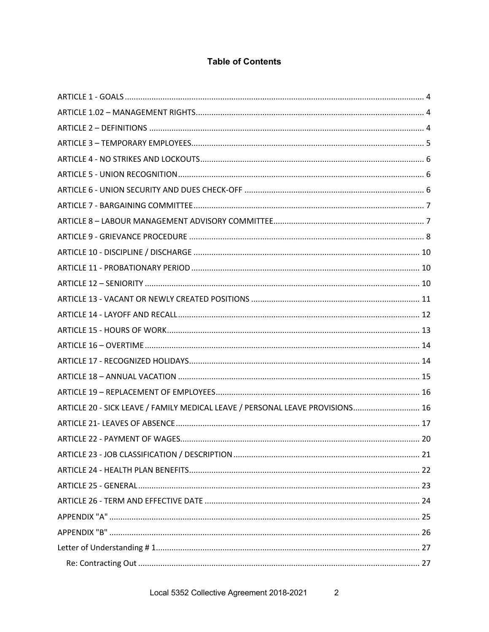### **Table of Contents**

| ARTICLE 20 - SICK LEAVE / FAMILY MEDICAL LEAVE / PERSONAL LEAVE PROVISIONS 16 |  |
|-------------------------------------------------------------------------------|--|
|                                                                               |  |
|                                                                               |  |
|                                                                               |  |
|                                                                               |  |
|                                                                               |  |
|                                                                               |  |
|                                                                               |  |
|                                                                               |  |
|                                                                               |  |
|                                                                               |  |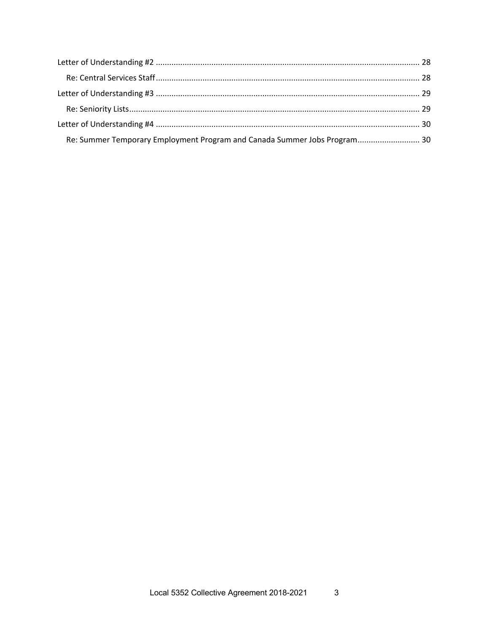| Re: Summer Temporary Employment Program and Canada Summer Jobs Program 30 |  |
|---------------------------------------------------------------------------|--|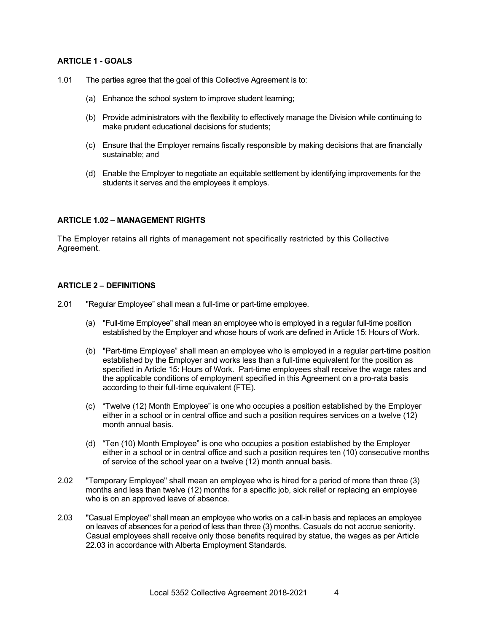#### **ARTICLE 1 - GOALS**

- 1.01 The parties agree that the goal of this Collective Agreement is to:
	- (a) Enhance the school system to improve student learning;
	- (b) Provide administrators with the flexibility to effectively manage the Division while continuing to make prudent educational decisions for students;
	- (c) Ensure that the Employer remains fiscally responsible by making decisions that are financially sustainable; and
	- (d) Enable the Employer to negotiate an equitable settlement by identifying improvements for the students it serves and the employees it employs.

#### **ARTICLE 1.02 – MANAGEMENT RIGHTS**

The Employer retains all rights of management not specifically restricted by this Collective Agreement.

#### **ARTICLE 2 – DEFINITIONS**

- 2.01 "Regular Employee" shall mean a full-time or part-time employee.
	- (a) "Full-time Employee" shall mean an employee who is employed in a regular full-time position established by the Employer and whose hours of work are defined in Article 15: Hours of Work.
	- (b) "Part-time Employee" shall mean an employee who is employed in a regular part-time position established by the Employer and works less than a full-time equivalent for the position as specified in Article 15: Hours of Work. Part-time employees shall receive the wage rates and the applicable conditions of employment specified in this Agreement on a pro-rata basis according to their full-time equivalent (FTE).
	- (c) "Twelve (12) Month Employee" is one who occupies a position established by the Employer either in a school or in central office and such a position requires services on a twelve (12) month annual basis.
	- (d) "Ten (10) Month Employee" is one who occupies a position established by the Employer either in a school or in central office and such a position requires ten (10) consecutive months of service of the school year on a twelve (12) month annual basis.
- 2.02 "Temporary Employee" shall mean an employee who is hired for a period of more than three (3) months and less than twelve (12) months for a specific job, sick relief or replacing an employee who is on an approved leave of absence.
- 2.03 "Casual Employee" shall mean an employee who works on a call-in basis and replaces an employee on leaves of absences for a period of less than three (3) months. Casuals do not accrue seniority. Casual employees shall receive only those benefits required by statue, the wages as per Article 22.03 in accordance with Alberta Employment Standards.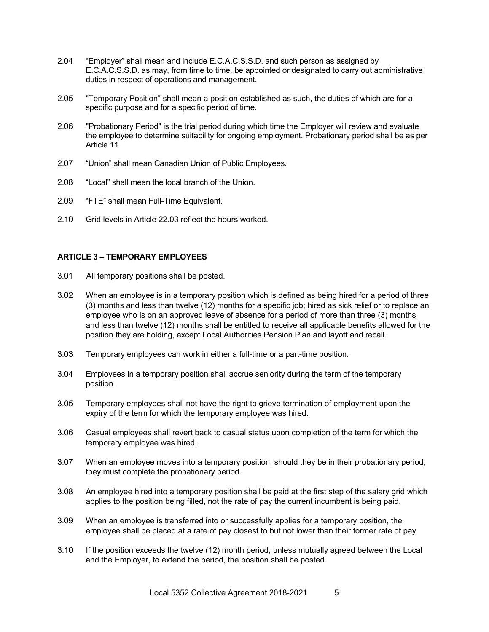- 2.04 "Employer" shall mean and include E.C.A.C.S.S.D. and such person as assigned by E.C.A.C.S.S.D. as may, from time to time, be appointed or designated to carry out administrative duties in respect of operations and management.
- 2.05 "Temporary Position" shall mean a position established as such, the duties of which are for a specific purpose and for a specific period of time.
- 2.06 "Probationary Period" is the trial period during which time the Employer will review and evaluate the employee to determine suitability for ongoing employment. Probationary period shall be as per Article 11.
- 2.07 "Union" shall mean Canadian Union of Public Employees.
- 2.08 "Local" shall mean the local branch of the Union.
- 2.09 "FTE" shall mean Full-Time Equivalent.
- 2.10 Grid levels in Article 22.03 reflect the hours worked.

#### **ARTICLE 3 – TEMPORARY EMPLOYEES**

- 3.01 All temporary positions shall be posted.
- 3.02 When an employee is in a temporary position which is defined as being hired for a period of three (3) months and less than twelve (12) months for a specific job; hired as sick relief or to replace an employee who is on an approved leave of absence for a period of more than three (3) months and less than twelve (12) months shall be entitled to receive all applicable benefits allowed for the position they are holding, except Local Authorities Pension Plan and layoff and recall.
- 3.03 Temporary employees can work in either a full-time or a part-time position.
- 3.04 Employees in a temporary position shall accrue seniority during the term of the temporary position.
- 3.05 Temporary employees shall not have the right to grieve termination of employment upon the expiry of the term for which the temporary employee was hired.
- 3.06 Casual employees shall revert back to casual status upon completion of the term for which the temporary employee was hired.
- 3.07 When an employee moves into a temporary position, should they be in their probationary period, they must complete the probationary period.
- 3.08 An employee hired into a temporary position shall be paid at the first step of the salary grid which applies to the position being filled, not the rate of pay the current incumbent is being paid.
- 3.09 When an employee is transferred into or successfully applies for a temporary position, the employee shall be placed at a rate of pay closest to but not lower than their former rate of pay.
- 3.10 If the position exceeds the twelve (12) month period, unless mutually agreed between the Local and the Employer, to extend the period, the position shall be posted.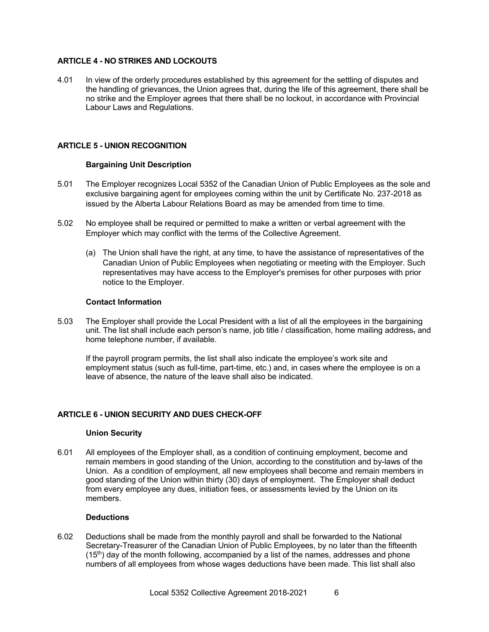#### **ARTICLE 4 - NO STRIKES AND LOCKOUTS**

4.01 In view of the orderly procedures established by this agreement for the settling of disputes and the handling of grievances, the Union agrees that, during the life of this agreement, there shall be no strike and the Employer agrees that there shall be no lockout, in accordance with Provincial Labour Laws and Regulations.

#### **ARTICLE 5 - UNION RECOGNITION**

#### **Bargaining Unit Description**

- 5.01 The Employer recognizes Local 5352 of the Canadian Union of Public Employees as the sole and exclusive bargaining agent for employees coming within the unit by Certificate No. 237-2018 as issued by the Alberta Labour Relations Board as may be amended from time to time.
- 5.02 No employee shall be required or permitted to make a written or verbal agreement with the Employer which may conflict with the terms of the Collective Agreement.
	- (a) The Union shall have the right, at any time, to have the assistance of representatives of the Canadian Union of Public Employees when negotiating or meeting with the Employer. Such representatives may have access to the Employer's premises for other purposes with prior notice to the Employer.

#### **Contact Information**

5.03 The Employer shall provide the Local President with a list of all the employees in the bargaining unit. The list shall include each person's name, job title / classification, home mailing address, and home telephone number, if available.

If the payroll program permits, the list shall also indicate the employee's work site and employment status (such as full-time, part-time, etc.) and, in cases where the employee is on a leave of absence, the nature of the leave shall also be indicated.

#### **ARTICLE 6 - UNION SECURITY AND DUES CHECK-OFF**

#### **Union Security**

6.01 All employees of the Employer shall, as a condition of continuing employment, become and remain members in good standing of the Union, according to the constitution and by-laws of the Union. As a condition of employment, all new employees shall become and remain members in good standing of the Union within thirty (30) days of employment. The Employer shall deduct from every employee any dues, initiation fees, or assessments levied by the Union on its members.

#### **Deductions**

6.02 Deductions shall be made from the monthly payroll and shall be forwarded to the National Secretary-Treasurer of the Canadian Union of Public Employees, by no later than the fifteenth  $(15<sup>th</sup>)$  day of the month following, accompanied by a list of the names, addresses and phone numbers of all employees from whose wages deductions have been made. This list shall also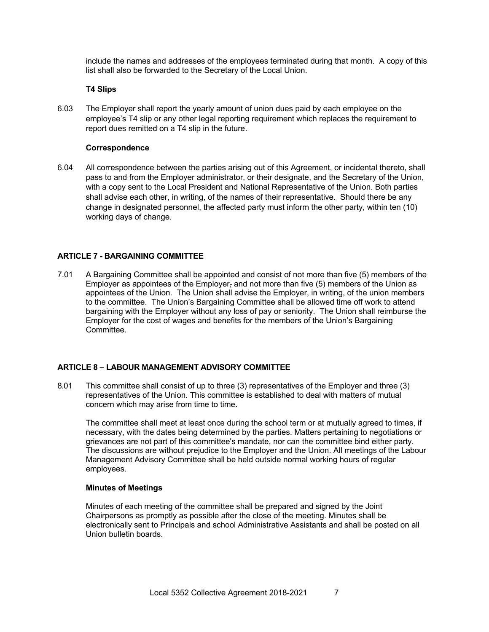include the names and addresses of the employees terminated during that month. A copy of this list shall also be forwarded to the Secretary of the Local Union.

#### **T4 Slips**

6.03 The Employer shall report the yearly amount of union dues paid by each employee on the employee's T4 slip or any other legal reporting requirement which replaces the requirement to report dues remitted on a T4 slip in the future.

#### **Correspondence**

6.04 All correspondence between the parties arising out of this Agreement, or incidental thereto, shall pass to and from the Employer administrator, or their designate, and the Secretary of the Union, with a copy sent to the Local President and National Representative of the Union. Both parties shall advise each other, in writing, of the names of their representative. Should there be any change in designated personnel, the affected party must inform the other party<sub> $<sub>1</sub>$ </sub> within ten (10)</sub> working days of change.

#### **ARTICLE 7 - BARGAINING COMMITTEE**

7.01 A Bargaining Committee shall be appointed and consist of not more than five (5) members of the Employer as appointees of the Employer, and not more than five  $(5)$  members of the Union as appointees of the Union. The Union shall advise the Employer, in writing, of the union members to the committee. The Union's Bargaining Committee shall be allowed time off work to attend bargaining with the Employer without any loss of pay or seniority. The Union shall reimburse the Employer for the cost of wages and benefits for the members of the Union's Bargaining Committee.

#### **ARTICLE 8 – LABOUR MANAGEMENT ADVISORY COMMITTEE**

8.01 This committee shall consist of up to three (3) representatives of the Employer and three (3) representatives of the Union. This committee is established to deal with matters of mutual concern which may arise from time to time.

The committee shall meet at least once during the school term or at mutually agreed to times, if necessary, with the dates being determined by the parties. Matters pertaining to negotiations or grievances are not part of this committee's mandate, nor can the committee bind either party. The discussions are without prejudice to the Employer and the Union. All meetings of the Labour Management Advisory Committee shall be held outside normal working hours of regular employees.

#### **Minutes of Meetings**

Minutes of each meeting of the committee shall be prepared and signed by the Joint Chairpersons as promptly as possible after the close of the meeting. Minutes shall be electronically sent to Principals and school Administrative Assistants and shall be posted on all Union bulletin boards.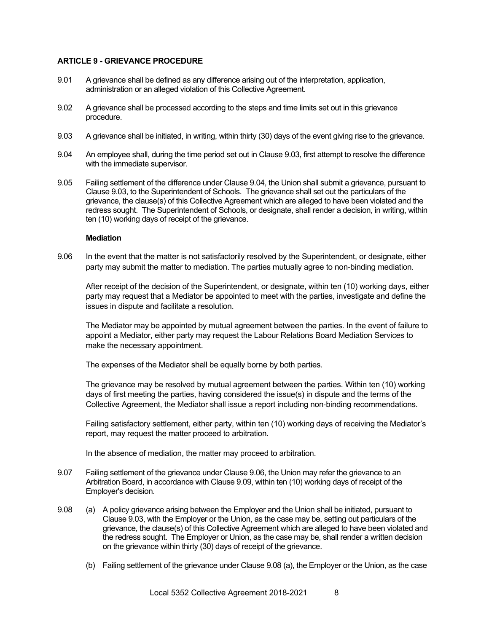#### **ARTICLE 9 - GRIEVANCE PROCEDURE**

- 9.01 A grievance shall be defined as any difference arising out of the interpretation, application, administration or an alleged violation of this Collective Agreement.
- 9.02 A grievance shall be processed according to the steps and time limits set out in this grievance procedure.
- 9.03 A grievance shall be initiated, in writing, within thirty (30) days of the event giving rise to the grievance.
- 9.04 An employee shall, during the time period set out in Clause 9.03, first attempt to resolve the difference with the immediate supervisor.
- 9.05 Failing settlement of the difference under Clause 9.04, the Union shall submit a grievance, pursuant to Clause 9.03, to the Superintendent of Schools. The grievance shall set out the particulars of the grievance, the clause(s) of this Collective Agreement which are alleged to have been violated and the redress sought. The Superintendent of Schools, or designate, shall render a decision, in writing, within ten (10) working days of receipt of the grievance.

#### **Mediation**

9.06 In the event that the matter is not satisfactorily resolved by the Superintendent, or designate, either party may submit the matter to mediation. The parties mutually agree to non-binding mediation.

After receipt of the decision of the Superintendent, or designate, within ten (10) working days, either party may request that a Mediator be appointed to meet with the parties, investigate and define the issues in dispute and facilitate a resolution.

The Mediator may be appointed by mutual agreement between the parties. In the event of failure to appoint a Mediator, either party may request the Labour Relations Board Mediation Services to make the necessary appointment.

The expenses of the Mediator shall be equally borne by both parties.

The grievance may be resolved by mutual agreement between the parties. Within ten (10) working days of first meeting the parties, having considered the issue(s) in dispute and the terms of the Collective Agreement, the Mediator shall issue a report including non-binding recommendations.

Failing satisfactory settlement, either party, within ten (10) working days of receiving the Mediator's report, may request the matter proceed to arbitration.

In the absence of mediation, the matter may proceed to arbitration.

- 9.07 Failing settlement of the grievance under Clause 9.06, the Union may refer the grievance to an Arbitration Board, in accordance with Clause 9.09, within ten (10) working days of receipt of the Employer's decision.
- 9.08 (a) A policy grievance arising between the Employer and the Union shall be initiated, pursuant to Clause 9.03, with the Employer or the Union, as the case may be, setting out particulars of the grievance, the clause(s) of this Collective Agreement which are alleged to have been violated and the redress sought. The Employer or Union, as the case may be, shall render a written decision on the grievance within thirty (30) days of receipt of the grievance.
	- (b) Failing settlement of the grievance under Clause 9.08 (a), the Employer or the Union, as the case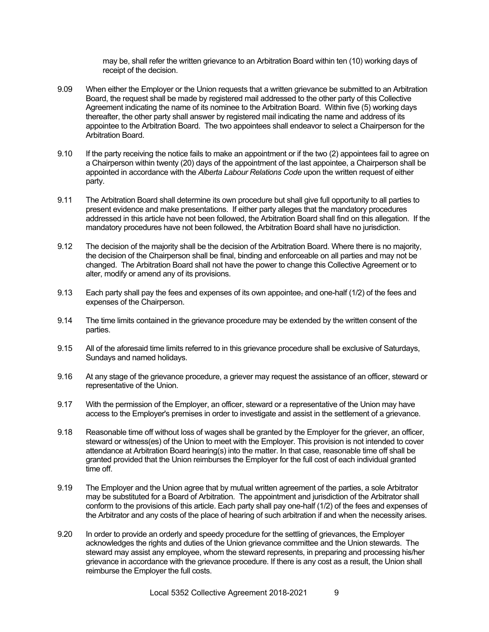may be, shall refer the written grievance to an Arbitration Board within ten (10) working days of receipt of the decision.

- 9.09 When either the Employer or the Union requests that a written grievance be submitted to an Arbitration Board, the request shall be made by registered mail addressed to the other party of this Collective Agreement indicating the name of its nominee to the Arbitration Board. Within five (5) working days thereafter, the other party shall answer by registered mail indicating the name and address of its appointee to the Arbitration Board. The two appointees shall endeavor to select a Chairperson for the Arbitration Board.
- 9.10 If the party receiving the notice fails to make an appointment or if the two (2) appointees fail to agree on a Chairperson within twenty (20) days of the appointment of the last appointee, a Chairperson shall be appointed in accordance with the *Alberta Labour Relations Code* upon the written request of either party.
- 9.11 The Arbitration Board shall determine its own procedure but shall give full opportunity to all parties to present evidence and make presentations. If either party alleges that the mandatory procedures addressed in this article have not been followed, the Arbitration Board shall find on this allegation. If the mandatory procedures have not been followed, the Arbitration Board shall have no jurisdiction.
- 9.12 The decision of the majority shall be the decision of the Arbitration Board. Where there is no majority, the decision of the Chairperson shall be final, binding and enforceable on all parties and may not be changed. The Arbitration Board shall not have the power to change this Collective Agreement or to alter, modify or amend any of its provisions.
- 9.13 Each party shall pay the fees and expenses of its own appointee, and one-half (1/2) of the fees and expenses of the Chairperson.
- 9.14 The time limits contained in the grievance procedure may be extended by the written consent of the parties.
- 9.15 All of the aforesaid time limits referred to in this grievance procedure shall be exclusive of Saturdays, Sundays and named holidays.
- 9.16 At any stage of the grievance procedure, a griever may request the assistance of an officer, steward or representative of the Union.
- 9.17 With the permission of the Employer, an officer, steward or a representative of the Union may have access to the Employer's premises in order to investigate and assist in the settlement of a grievance.
- 9.18 Reasonable time off without loss of wages shall be granted by the Employer for the griever, an officer, steward or witness(es) of the Union to meet with the Employer. This provision is not intended to cover attendance at Arbitration Board hearing(s) into the matter. In that case, reasonable time off shall be granted provided that the Union reimburses the Employer for the full cost of each individual granted time off.
- 9.19 The Employer and the Union agree that by mutual written agreement of the parties, a sole Arbitrator may be substituted for a Board of Arbitration. The appointment and jurisdiction of the Arbitrator shall conform to the provisions of this article. Each party shall pay one-half (1/2) of the fees and expenses of the Arbitrator and any costs of the place of hearing of such arbitration if and when the necessity arises.
- 9.20 In order to provide an orderly and speedy procedure for the settling of grievances, the Employer acknowledges the rights and duties of the Union grievance committee and the Union stewards. The steward may assist any employee, whom the steward represents, in preparing and processing his/her grievance in accordance with the grievance procedure. If there is any cost as a result, the Union shall reimburse the Employer the full costs.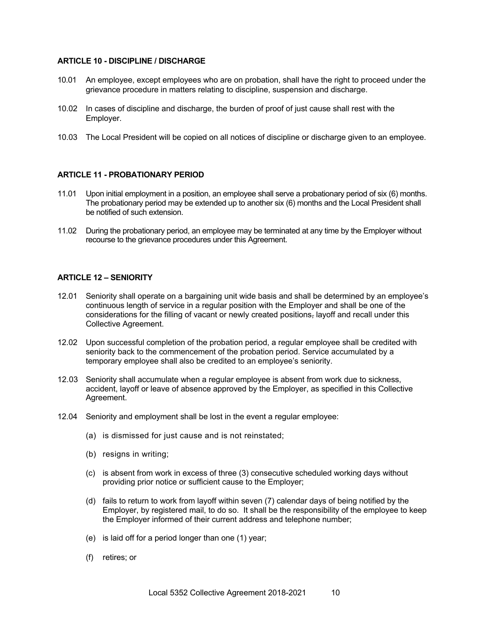#### **ARTICLE 10 - DISCIPLINE / DISCHARGE**

- 10.01 An employee, except employees who are on probation, shall have the right to proceed under the grievance procedure in matters relating to discipline, suspension and discharge.
- 10.02 In cases of discipline and discharge, the burden of proof of just cause shall rest with the Employer.
- 10.03 The Local President will be copied on all notices of discipline or discharge given to an employee.

#### **ARTICLE 11 - PROBATIONARY PERIOD**

- 11.01 Upon initial employment in a position, an employee shall serve a probationary period of six (6) months. The probationary period may be extended up to another six (6) months and the Local President shall be notified of such extension.
- 11.02 During the probationary period, an employee may be terminated at any time by the Employer without recourse to the grievance procedures under this Agreement.

#### **ARTICLE 12 – SENIORITY**

- 12.01 Seniority shall operate on a bargaining unit wide basis and shall be determined by an employee's continuous length of service in a regular position with the Employer and shall be one of the considerations for the filling of vacant or newly created positions, layoff and recall under this Collective Agreement.
- 12.02 Upon successful completion of the probation period, a regular employee shall be credited with seniority back to the commencement of the probation period. Service accumulated by a temporary employee shall also be credited to an employee's seniority.
- 12.03 Seniority shall accumulate when a regular employee is absent from work due to sickness, accident, layoff or leave of absence approved by the Employer, as specified in this Collective Agreement.
- 12.04 Seniority and employment shall be lost in the event a regular employee:
	- (a) is dismissed for just cause and is not reinstated;
	- (b) resigns in writing;
	- (c) is absent from work in excess of three (3) consecutive scheduled working days without providing prior notice or sufficient cause to the Employer;
	- (d) fails to return to work from layoff within seven (7) calendar days of being notified by the Employer, by registered mail, to do so. It shall be the responsibility of the employee to keep the Employer informed of their current address and telephone number;
	- (e) is laid off for a period longer than one (1) year;
	- (f) retires; or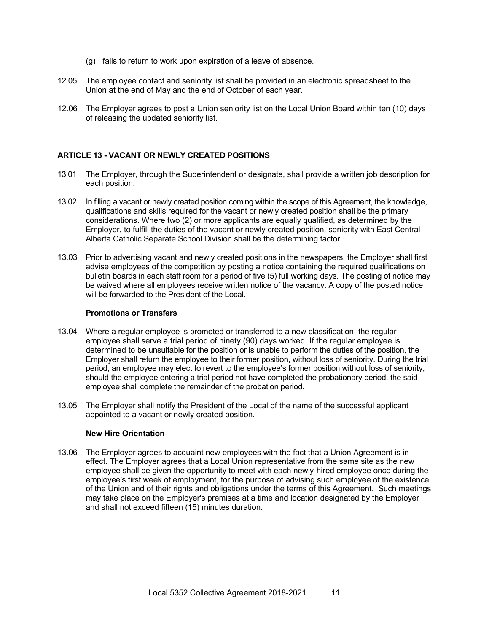- (g) fails to return to work upon expiration of a leave of absence.
- 12.05 The employee contact and seniority list shall be provided in an electronic spreadsheet to the Union at the end of May and the end of October of each year.
- 12.06 The Employer agrees to post a Union seniority list on the Local Union Board within ten (10) days of releasing the updated seniority list.

#### **ARTICLE 13 - VACANT OR NEWLY CREATED POSITIONS**

- 13.01 The Employer, through the Superintendent or designate, shall provide a written job description for each position.
- 13.02 In filling a vacant or newly created position coming within the scope of this Agreement, the knowledge, qualifications and skills required for the vacant or newly created position shall be the primary considerations. Where two (2) or more applicants are equally qualified, as determined by the Employer, to fulfill the duties of the vacant or newly created position, seniority with East Central Alberta Catholic Separate School Division shall be the determining factor.
- 13.03 Prior to advertising vacant and newly created positions in the newspapers, the Employer shall first advise employees of the competition by posting a notice containing the required qualifications on bulletin boards in each staff room for a period of five (5) full working days. The posting of notice may be waived where all employees receive written notice of the vacancy. A copy of the posted notice will be forwarded to the President of the Local.

#### **Promotions or Transfers**

- 13.04 Where a regular employee is promoted or transferred to a new classification, the regular employee shall serve a trial period of ninety (90) days worked. If the regular employee is determined to be unsuitable for the position or is unable to perform the duties of the position, the Employer shall return the employee to their former position, without loss of seniority. During the trial period, an employee may elect to revert to the employee's former position without loss of seniority, should the employee entering a trial period not have completed the probationary period, the said employee shall complete the remainder of the probation period.
- 13.05 The Employer shall notify the President of the Local of the name of the successful applicant appointed to a vacant or newly created position.

#### **New Hire Orientation**

13.06 The Employer agrees to acquaint new employees with the fact that a Union Agreement is in effect. The Employer agrees that a Local Union representative from the same site as the new employee shall be given the opportunity to meet with each newly-hired employee once during the employee's first week of employment, for the purpose of advising such employee of the existence of the Union and of their rights and obligations under the terms of this Agreement. Such meetings may take place on the Employer's premises at a time and location designated by the Employer and shall not exceed fifteen (15) minutes duration.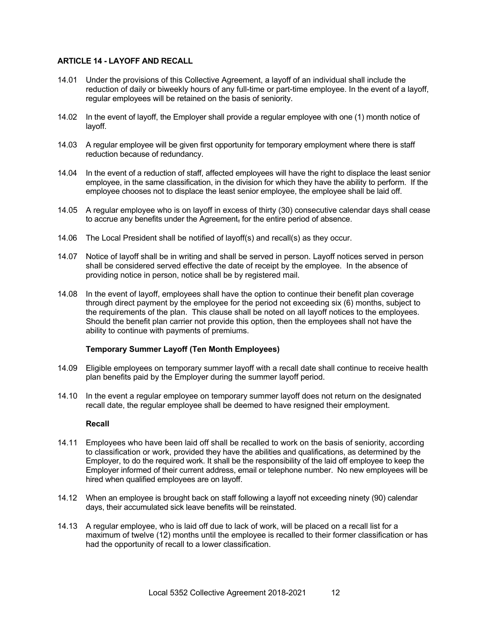#### **ARTICLE 14 - LAYOFF AND RECALL**

- 14.01 Under the provisions of this Collective Agreement, a layoff of an individual shall include the reduction of daily or biweekly hours of any full-time or part-time employee. In the event of a layoff, regular employees will be retained on the basis of seniority.
- 14.02 In the event of layoff, the Employer shall provide a regular employee with one (1) month notice of layoff.
- 14.03 A regular employee will be given first opportunity for temporary employment where there is staff reduction because of redundancy.
- 14.04 In the event of a reduction of staff, affected employees will have the right to displace the least senior employee, in the same classification, in the division for which they have the ability to perform. If the employee chooses not to displace the least senior employee, the employee shall be laid off.
- 14.05 A regular employee who is on layoff in excess of thirty (30) consecutive calendar days shall cease to accrue any benefits under the Agreement, for the entire period of absence.
- 14.06 The Local President shall be notified of layoff(s) and recall(s) as they occur.
- 14.07 Notice of layoff shall be in writing and shall be served in person. Layoff notices served in person shall be considered served effective the date of receipt by the employee. In the absence of providing notice in person, notice shall be by registered mail.
- 14.08 In the event of layoff, employees shall have the option to continue their benefit plan coverage through direct payment by the employee for the period not exceeding six (6) months, subject to the requirements of the plan. This clause shall be noted on all layoff notices to the employees. Should the benefit plan carrier not provide this option, then the employees shall not have the ability to continue with payments of premiums.

#### **Temporary Summer Layoff (Ten Month Employees)**

- 14.09 Eligible employees on temporary summer layoff with a recall date shall continue to receive health plan benefits paid by the Employer during the summer layoff period.
- 14.10 In the event a regular employee on temporary summer layoff does not return on the designated recall date, the regular employee shall be deemed to have resigned their employment.

#### **Recall**

- 14.11 Employees who have been laid off shall be recalled to work on the basis of seniority, according to classification or work, provided they have the abilities and qualifications, as determined by the Employer, to do the required work. It shall be the responsibility of the laid off employee to keep the Employer informed of their current address, email or telephone number. No new employees will be hired when qualified employees are on layoff.
- 14.12 When an employee is brought back on staff following a layoff not exceeding ninety (90) calendar days, their accumulated sick leave benefits will be reinstated.
- 14.13 A regular employee, who is laid off due to lack of work, will be placed on a recall list for a maximum of twelve (12) months until the employee is recalled to their former classification or has had the opportunity of recall to a lower classification.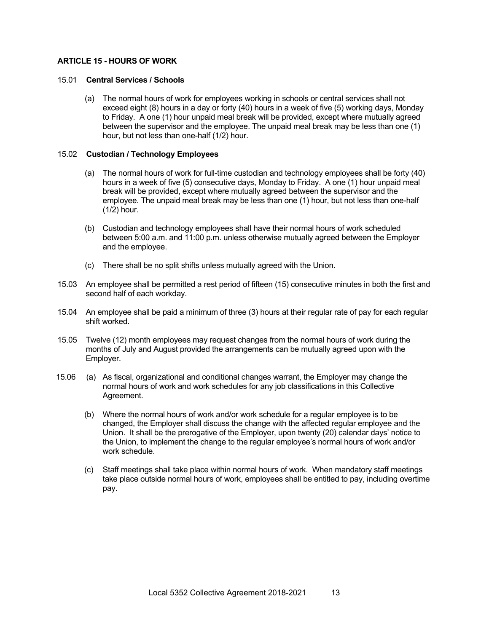#### **ARTICLE 15 - HOURS OF WORK**

#### 15.01 **Central Services / Schools**

(a) The normal hours of work for employees working in schools or central services shall not exceed eight (8) hours in a day or forty (40) hours in a week of five (5) working days, Monday to Friday. A one (1) hour unpaid meal break will be provided, except where mutually agreed between the supervisor and the employee. The unpaid meal break may be less than one (1) hour, but not less than one-half (1/2) hour.

#### 15.02 **Custodian / Technology Employees**

- (a) The normal hours of work for full-time custodian and technology employees shall be forty (40) hours in a week of five (5) consecutive days, Monday to Friday. A one (1) hour unpaid meal break will be provided, except where mutually agreed between the supervisor and the employee. The unpaid meal break may be less than one (1) hour, but not less than one-half (1/2) hour.
- (b) Custodian and technology employees shall have their normal hours of work scheduled between 5:00 a.m. and 11:00 p.m. unless otherwise mutually agreed between the Employer and the employee.
- (c) There shall be no split shifts unless mutually agreed with the Union.
- 15.03 An employee shall be permitted a rest period of fifteen (15) consecutive minutes in both the first and second half of each workday.
- 15.04 An employee shall be paid a minimum of three (3) hours at their regular rate of pay for each regular shift worked.
- 15.05 Twelve (12) month employees may request changes from the normal hours of work during the months of July and August provided the arrangements can be mutually agreed upon with the Employer.
- 15.06 (a) As fiscal, organizational and conditional changes warrant, the Employer may change the normal hours of work and work schedules for any job classifications in this Collective Agreement.
	- (b) Where the normal hours of work and/or work schedule for a regular employee is to be changed, the Employer shall discuss the change with the affected regular employee and the Union. It shall be the prerogative of the Employer, upon twenty (20) calendar days' notice to the Union, to implement the change to the regular employee's normal hours of work and/or work schedule.
	- (c) Staff meetings shall take place within normal hours of work. When mandatory staff meetings take place outside normal hours of work, employees shall be entitled to pay, including overtime pay.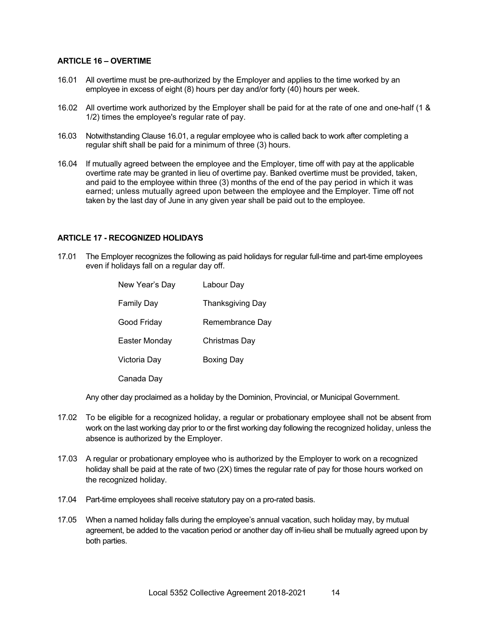#### **ARTICLE 16 – OVERTIME**

- 16.01 All overtime must be pre-authorized by the Employer and applies to the time worked by an employee in excess of eight (8) hours per day and/or forty (40) hours per week.
- 16.02 All overtime work authorized by the Employer shall be paid for at the rate of one and one-half (1 & 1/2) times the employee's regular rate of pay.
- 16.03 Notwithstanding Clause 16.01, a regular employee who is called back to work after completing a regular shift shall be paid for a minimum of three (3) hours.
- 16.04 If mutually agreed between the employee and the Employer, time off with pay at the applicable overtime rate may be granted in lieu of overtime pay. Banked overtime must be provided, taken, and paid to the employee within three (3) months of the end of the pay period in which it was earned; unless mutually agreed upon between the employee and the Employer. Time off not taken by the last day of June in any given year shall be paid out to the employee.

#### **ARTICLE 17 - RECOGNIZED HOLIDAYS**

17.01 The Employer recognizes the following as paid holidays for regular full-time and part-time employees even if holidays fall on a regular day off.

| New Year's Day | Labour Day        |
|----------------|-------------------|
| Family Day     | Thanksgiving Day  |
| Good Friday    | Remembrance Day   |
| Easter Monday  | Christmas Day     |
| Victoria Day   | <b>Boxing Day</b> |
| Canada Day     |                   |

Any other day proclaimed as a holiday by the Dominion, Provincial, or Municipal Government.

- 17.02 To be eligible for a recognized holiday, a regular or probationary employee shall not be absent from work on the last working day prior to or the first working day following the recognized holiday, unless the absence is authorized by the Employer.
- 17.03 A regular or probationary employee who is authorized by the Employer to work on a recognized holiday shall be paid at the rate of two (2X) times the regular rate of pay for those hours worked on the recognized holiday.
- 17.04 Part-time employees shall receive statutory pay on a pro-rated basis.
- 17.05 When a named holiday falls during the employee's annual vacation, such holiday may, by mutual agreement, be added to the vacation period or another day off in-lieu shall be mutually agreed upon by both parties.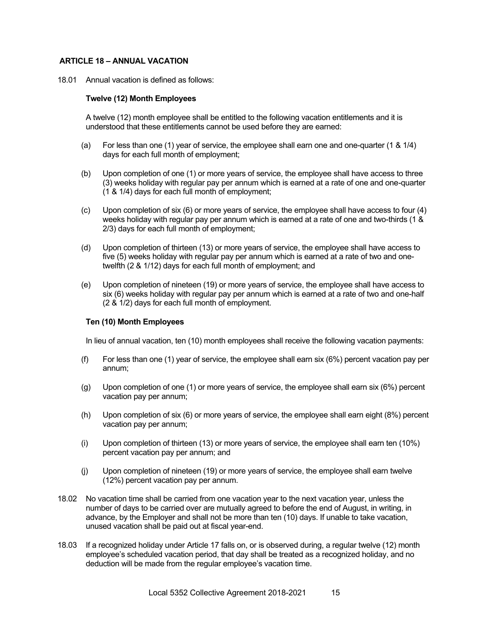#### **ARTICLE 18 – ANNUAL VACATION**

18.01 Annual vacation is defined as follows:

#### **Twelve (12) Month Employees**

A twelve (12) month employee shall be entitled to the following vacation entitlements and it is understood that these entitlements cannot be used before they are earned:

- (a) For less than one (1) year of service, the employee shall earn one and one-quarter (1 & 1/4) days for each full month of employment;
- (b) Upon completion of one (1) or more years of service, the employee shall have access to three (3) weeks holiday with regular pay per annum which is earned at a rate of one and one-quarter (1 & 1/4) days for each full month of employment;
- (c) Upon completion of six (6) or more years of service, the employee shall have access to four (4) weeks holiday with regular pay per annum which is earned at a rate of one and two-thirds (1 & 2/3) days for each full month of employment;
- (d) Upon completion of thirteen (13) or more years of service, the employee shall have access to five (5) weeks holiday with regular pay per annum which is earned at a rate of two and onetwelfth (2 & 1/12) days for each full month of employment; and
- (e) Upon completion of nineteen (19) or more years of service, the employee shall have access to six (6) weeks holiday with regular pay per annum which is earned at a rate of two and one-half (2 & 1/2) days for each full month of employment.

#### **Ten (10) Month Employees**

In lieu of annual vacation, ten (10) month employees shall receive the following vacation payments:

- (f) For less than one (1) year of service, the employee shall earn six (6%) percent vacation pay per annum;
- (g) Upon completion of one (1) or more years of service, the employee shall earn six (6%) percent vacation pay per annum;
- (h) Upon completion of six (6) or more years of service, the employee shall earn eight (8%) percent vacation pay per annum;
- (i) Upon completion of thirteen (13) or more years of service, the employee shall earn ten (10%) percent vacation pay per annum; and
- (j) Upon completion of nineteen (19) or more years of service, the employee shall earn twelve (12%) percent vacation pay per annum.
- 18.02 No vacation time shall be carried from one vacation year to the next vacation year, unless the number of days to be carried over are mutually agreed to before the end of August, in writing, in advance, by the Employer and shall not be more than ten (10) days. If unable to take vacation, unused vacation shall be paid out at fiscal year-end.
- 18.03 If a recognized holiday under Article 17 falls on, or is observed during, a regular twelve (12) month employee's scheduled vacation period, that day shall be treated as a recognized holiday, and no deduction will be made from the regular employee's vacation time.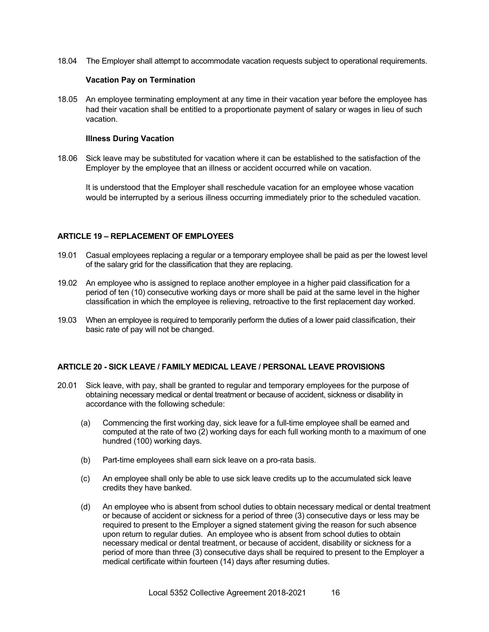18.04 The Employer shall attempt to accommodate vacation requests subject to operational requirements.

#### **Vacation Pay on Termination**

18.05 An employee terminating employment at any time in their vacation year before the employee has had their vacation shall be entitled to a proportionate payment of salary or wages in lieu of such vacation.

#### **Illness During Vacation**

18.06 Sick leave may be substituted for vacation where it can be established to the satisfaction of the Employer by the employee that an illness or accident occurred while on vacation.

It is understood that the Employer shall reschedule vacation for an employee whose vacation would be interrupted by a serious illness occurring immediately prior to the scheduled vacation.

#### **ARTICLE 19 – REPLACEMENT OF EMPLOYEES**

- 19.01 Casual employees replacing a regular or a temporary employee shall be paid as per the lowest level of the salary grid for the classification that they are replacing.
- 19.02 An employee who is assigned to replace another employee in a higher paid classification for a period of ten (10) consecutive working days or more shall be paid at the same level in the higher classification in which the employee is relieving, retroactive to the first replacement day worked.
- 19.03 When an employee is required to temporarily perform the duties of a lower paid classification, their basic rate of pay will not be changed.

#### **ARTICLE 20 - SICK LEAVE / FAMILY MEDICAL LEAVE / PERSONAL LEAVE PROVISIONS**

- 20.01 Sick leave, with pay, shall be granted to regular and temporary employees for the purpose of obtaining necessary medical or dental treatment or because of accident, sickness or disability in accordance with the following schedule:
	- (a) Commencing the first working day, sick leave for a full-time employee shall be earned and computed at the rate of two (2) working days for each full working month to a maximum of one hundred (100) working days.
	- (b) Part-time employees shall earn sick leave on a pro-rata basis.
	- (c) An employee shall only be able to use sick leave credits up to the accumulated sick leave credits they have banked.
	- (d) An employee who is absent from school duties to obtain necessary medical or dental treatment or because of accident or sickness for a period of three (3) consecutive days or less may be required to present to the Employer a signed statement giving the reason for such absence upon return to regular duties. An employee who is absent from school duties to obtain necessary medical or dental treatment, or because of accident, disability or sickness for a period of more than three (3) consecutive days shall be required to present to the Employer a medical certificate within fourteen (14) days after resuming duties.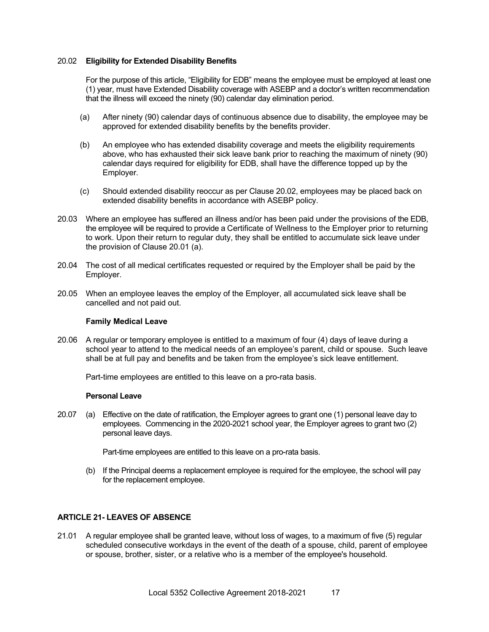#### 20.02 **Eligibility for Extended Disability Benefits**

For the purpose of this article, "Eligibility for EDB" means the employee must be employed at least one (1) year, must have Extended Disability coverage with ASEBP and a doctor's written recommendation that the illness will exceed the ninety (90) calendar day elimination period.

- (a) After ninety (90) calendar days of continuous absence due to disability, the employee may be approved for extended disability benefits by the benefits provider.
- (b) An employee who has extended disability coverage and meets the eligibility requirements above, who has exhausted their sick leave bank prior to reaching the maximum of ninety (90) calendar days required for eligibility for EDB, shall have the difference topped up by the Employer.
- (c) Should extended disability reoccur as per Clause 20.02, employees may be placed back on extended disability benefits in accordance with ASEBP policy.
- 20.03 Where an employee has suffered an illness and/or has been paid under the provisions of the EDB, the employee will be required to provide a Certificate of Wellness to the Employer prior to returning to work. Upon their return to regular duty, they shall be entitled to accumulate sick leave under the provision of Clause 20.01 (a).
- 20.04 The cost of all medical certificates requested or required by the Employer shall be paid by the Employer.
- 20.05 When an employee leaves the employ of the Employer, all accumulated sick leave shall be cancelled and not paid out.

#### **Family Medical Leave**

20.06 A regular or temporary employee is entitled to a maximum of four (4) days of leave during a school year to attend to the medical needs of an employee's parent, child or spouse. Such leave shall be at full pay and benefits and be taken from the employee's sick leave entitlement.

Part-time employees are entitled to this leave on a pro-rata basis.

#### **Personal Leave**

20.07 (a) Effective on the date of ratification, the Employer agrees to grant one (1) personal leave day to employees. Commencing in the 2020-2021 school year, the Employer agrees to grant two (2) personal leave days.

Part-time employees are entitled to this leave on a pro-rata basis.

(b) If the Principal deems a replacement employee is required for the employee, the school will pay for the replacement employee.

#### **ARTICLE 21- LEAVES OF ABSENCE**

21.01 A regular employee shall be granted leave, without loss of wages, to a maximum of five (5) regular scheduled consecutive workdays in the event of the death of a spouse, child, parent of employee or spouse, brother, sister, or a relative who is a member of the employee's household.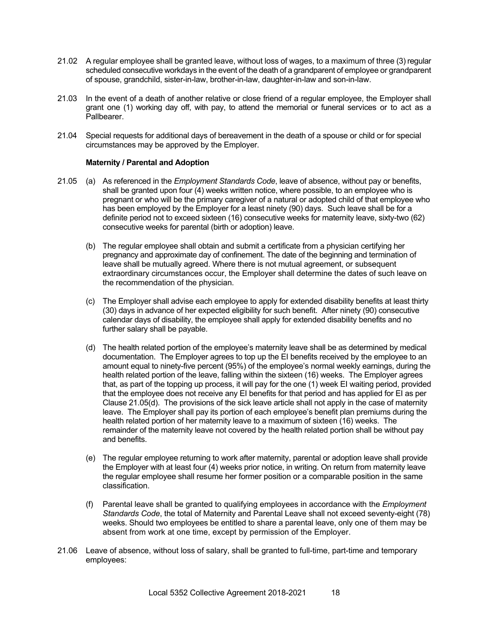- 21.02 A regular employee shall be granted leave, without loss of wages, to a maximum of three (3) regular scheduled consecutive workdays in the event of the death of a grandparent of employee or grandparent of spouse, grandchild, sister-in-law, brother-in-law, daughter-in-law and son-in-law.
- 21.03 In the event of a death of another relative or close friend of a regular employee, the Employer shall grant one (1) working day off, with pay, to attend the memorial or funeral services or to act as a Pallbearer.
- 21.04 Special requests for additional days of bereavement in the death of a spouse or child or for special circumstances may be approved by the Employer.

#### **Maternity / Parental and Adoption**

- 21.05 (a) As referenced in the *Employment Standards Code*, leave of absence, without pay or benefits, shall be granted upon four (4) weeks written notice, where possible, to an employee who is pregnant or who will be the primary caregiver of a natural or adopted child of that employee who has been employed by the Employer for a least ninety (90) days. Such leave shall be for a definite period not to exceed sixteen (16) consecutive weeks for maternity leave, sixty-two (62) consecutive weeks for parental (birth or adoption) leave.
	- (b) The regular employee shall obtain and submit a certificate from a physician certifying her pregnancy and approximate day of confinement. The date of the beginning and termination of leave shall be mutually agreed. Where there is not mutual agreement, or subsequent extraordinary circumstances occur, the Employer shall determine the dates of such leave on the recommendation of the physician.
	- (c) The Employer shall advise each employee to apply for extended disability benefits at least thirty (30) days in advance of her expected eligibility for such benefit. After ninety (90) consecutive calendar days of disability, the employee shall apply for extended disability benefits and no further salary shall be payable.
	- (d) The health related portion of the employee's maternity leave shall be as determined by medical documentation. The Employer agrees to top up the EI benefits received by the employee to an amount equal to ninety-five percent (95%) of the employee's normal weekly earnings, during the health related portion of the leave, falling within the sixteen (16) weeks. The Employer agrees that, as part of the topping up process, it will pay for the one (1) week EI waiting period, provided that the employee does not receive any EI benefits for that period and has applied for EI as per Clause 21.05(d). The provisions of the sick leave article shall not apply in the case of maternity leave. The Employer shall pay its portion of each employee's benefit plan premiums during the health related portion of her maternity leave to a maximum of sixteen (16) weeks. The remainder of the maternity leave not covered by the health related portion shall be without pay and benefits.
	- (e) The regular employee returning to work after maternity, parental or adoption leave shall provide the Employer with at least four (4) weeks prior notice, in writing. On return from maternity leave the regular employee shall resume her former position or a comparable position in the same classification.
	- (f) Parental leave shall be granted to qualifying employees in accordance with the *Employment Standards Code*, the total of Maternity and Parental Leave shall not exceed seventy-eight (78) weeks. Should two employees be entitled to share a parental leave, only one of them may be absent from work at one time, except by permission of the Employer.
- 21.06 Leave of absence, without loss of salary, shall be granted to full-time, part-time and temporary employees: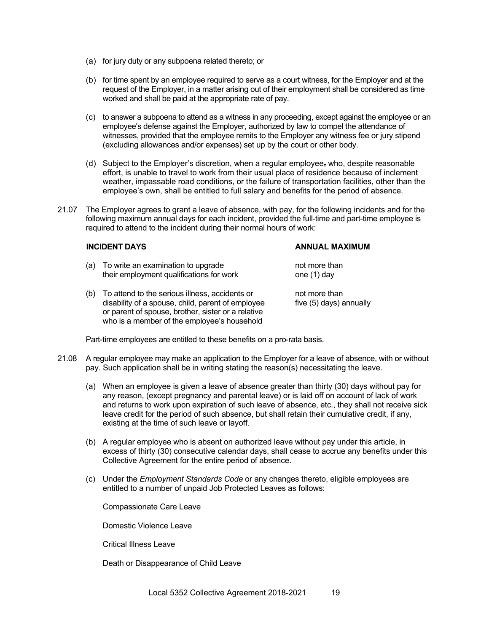- (a) for jury duty or any subpoena related thereto; or
- (b) for time spent by an employee required to serve as a court witness, for the Employer and at the request of the Employer, in a matter arising out of their employment shall be considered as time worked and shall be paid at the appropriate rate of pay.
- (c) to answer a subpoena to attend as a witness in any proceeding, except against the employee or an employee's defense against the Employer, authorized by law to compel the attendance of witnesses, provided that the employee remits to the Employer any witness fee or jury stipend (excluding allowances and/or expenses) set up by the court or other body.
- (d) Subject to the Employer's discretion, when a regular employee, who, despite reasonable effort, is unable to travel to work from their usual place of residence because of inclement weather, impassable road conditions, or the failure of transportation facilities, other than the employee's own, shall be entitled to full salary and benefits for the period of absence.
- 21.07 The Employer agrees to grant a leave of absence, with pay, for the following incidents and for the following maximum annual days for each incident, provided the full-time and part-time employee is required to attend to the incident during their normal hours of work:

#### **INCIDENT DAYS ANNUAL MAXIMUM**

- (a) To write an examination to upgrade not more than their employment qualifications for work one (1) day
- (b) To attend to the serious illness, accidents or not more than disability of a spouse, child, parent of employee five (5) days) annually or parent of spouse, brother, sister or a relative who is a member of the employee's household

Part-time employees are entitled to these benefits on a pro-rata basis.

- 21.08 A regular employee may make an application to the Employer for a leave of absence, with or without pay. Such application shall be in writing stating the reason(s) necessitating the leave.
	- (a) When an employee is given a leave of absence greater than thirty (30) days without pay for any reason, (except pregnancy and parental leave) or is laid off on account of lack of work and returns to work upon expiration of such leave of absence, etc., they shall not receive sick leave credit for the period of such absence, but shall retain their cumulative credit, if any, existing at the time of such leave or layoff.
	- (b) A regular employee who is absent on authorized leave without pay under this article, in excess of thirty (30) consecutive calendar days, shall cease to accrue any benefits under this Collective Agreement for the entire period of absence.
	- (c) Under the *Employment Standards Code* or any changes thereto, eligible employees are entitled to a number of unpaid Job Protected Leaves as follows:

Compassionate Care Leave

Domestic Violence Leave

Critical Illness Leave

Death or Disappearance of Child Leave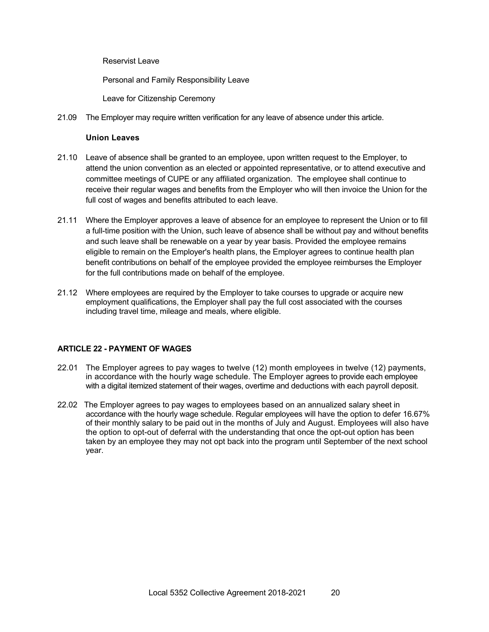Reservist Leave

Personal and Family Responsibility Leave

Leave for Citizenship Ceremony

21.09 The Employer may require written verification for any leave of absence under this article.

#### **Union Leaves**

- 21.10 Leave of absence shall be granted to an employee, upon written request to the Employer, to attend the union convention as an elected or appointed representative, or to attend executive and committee meetings of CUPE or any affiliated organization. The employee shall continue to receive their regular wages and benefits from the Employer who will then invoice the Union for the full cost of wages and benefits attributed to each leave.
- 21.11 Where the Employer approves a leave of absence for an employee to represent the Union or to fill a full-time position with the Union, such leave of absence shall be without pay and without benefits and such leave shall be renewable on a year by year basis. Provided the employee remains eligible to remain on the Employer's health plans, the Employer agrees to continue health plan benefit contributions on behalf of the employee provided the employee reimburses the Employer for the full contributions made on behalf of the employee.
- 21.12 Where employees are required by the Employer to take courses to upgrade or acquire new employment qualifications, the Employer shall pay the full cost associated with the courses including travel time, mileage and meals, where eligible.

#### **ARTICLE 22 - PAYMENT OF WAGES**

- 22.01 The Employer agrees to pay wages to twelve (12) month employees in twelve (12) payments, in accordance with the hourly wage schedule. The Employer agrees to provide each employee with a digital itemized statement of their wages, overtime and deductions with each payroll deposit.
- 22.02 The Employer agrees to pay wages to employees based on an annualized salary sheet in accordance with the hourly wage schedule. Regular employees will have the option to defer 16.67% of their monthly salary to be paid out in the months of July and August. Employees will also have the option to opt-out of deferral with the understanding that once the opt-out option has been taken by an employee they may not opt back into the program until September of the next school year.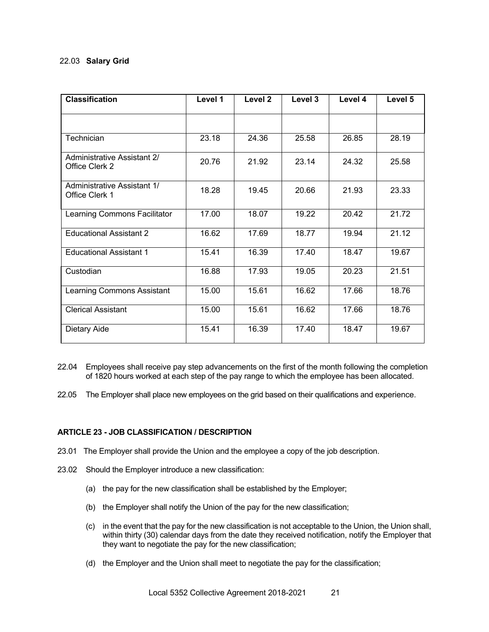#### 22.03 **Salary Grid**

| <b>Classification</b>                                | Level 1 | Level 2 | Level 3 | Level 4 | Level 5 |
|------------------------------------------------------|---------|---------|---------|---------|---------|
|                                                      |         |         |         |         |         |
| Technician                                           | 23.18   | 24.36   | 25.58   | 26.85   | 28.19   |
| <b>Administrative Assistant 2/</b><br>Office Clerk 2 | 20.76   | 21.92   | 23.14   | 24.32   | 25.58   |
| Administrative Assistant 1/<br>Office Clerk 1        | 18.28   | 19.45   | 20.66   | 21.93   | 23.33   |
| Learning Commons Facilitator                         | 17.00   | 18.07   | 19.22   | 20.42   | 21.72   |
| <b>Educational Assistant 2</b>                       | 16.62   | 17.69   | 18.77   | 19.94   | 21.12   |
| <b>Educational Assistant 1</b>                       | 15.41   | 16.39   | 17.40   | 18.47   | 19.67   |
| Custodian                                            | 16.88   | 17.93   | 19.05   | 20.23   | 21.51   |
| Learning Commons Assistant                           | 15.00   | 15.61   | 16.62   | 17.66   | 18.76   |
| <b>Clerical Assistant</b>                            | 15.00   | 15.61   | 16.62   | 17.66   | 18.76   |
| Dietary Aide                                         | 15.41   | 16.39   | 17.40   | 18.47   | 19.67   |

- 22.04 Employees shall receive pay step advancements on the first of the month following the completion of 1820 hours worked at each step of the pay range to which the employee has been allocated.
- 22.05 The Employer shall place new employees on the grid based on their qualifications and experience.

#### **ARTICLE 23 - JOB CLASSIFICATION / DESCRIPTION**

- 23.01 The Employer shall provide the Union and the employee a copy of the job description.
- 23.02 Should the Employer introduce a new classification:
	- (a) the pay for the new classification shall be established by the Employer;
	- (b) the Employer shall notify the Union of the pay for the new classification;
	- (c) in the event that the pay for the new classification is not acceptable to the Union, the Union shall, within thirty (30) calendar days from the date they received notification, notify the Employer that they want to negotiate the pay for the new classification;
	- (d) the Employer and the Union shall meet to negotiate the pay for the classification;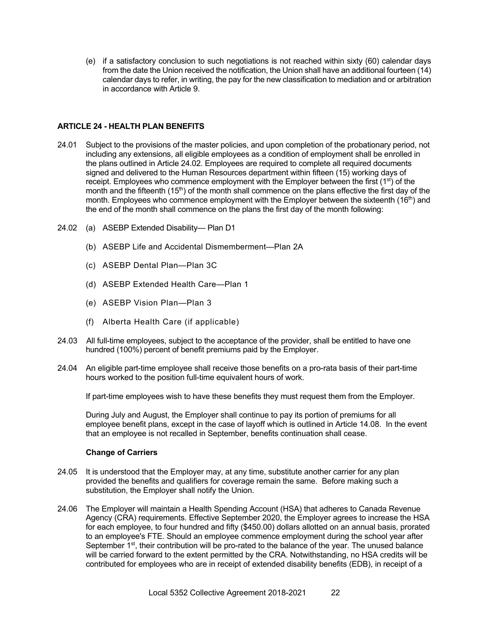(e) if a satisfactory conclusion to such negotiations is not reached within sixty (60) calendar days from the date the Union received the notification, the Union shall have an additional fourteen (14) calendar days to refer, in writing, the pay for the new classification to mediation and or arbitration in accordance with Article 9.

#### **ARTICLE 24 - HEALTH PLAN BENEFITS**

- 24.01 Subject to the provisions of the master policies, and upon completion of the probationary period, not including any extensions, all eligible employees as a condition of employment shall be enrolled in the plans outlined in Article 24.02. Employees are required to complete all required documents signed and delivered to the Human Resources department within fifteen (15) working days of receipt. Employees who commence employment with the Employer between the first  $(1<sup>st</sup>)$  of the month and the fifteenth ( $15<sup>th</sup>$ ) of the month shall commence on the plans effective the first day of the month. Employees who commence employment with the Employer between the sixteenth (16<sup>th</sup>) and the end of the month shall commence on the plans the first day of the month following:
- 24.02 (a) ASEBP Extended Disability— Plan D1
	- (b) ASEBP Life and Accidental Dismemberment—Plan 2A
	- (c) ASEBP Dental Plan—Plan 3C
	- (d) ASEBP Extended Health Care—Plan 1
	- (e) ASEBP Vision Plan—Plan 3
	- (f) Alberta Health Care (if applicable)
- 24.03 All full-time employees, subject to the acceptance of the provider, shall be entitled to have one hundred (100%) percent of benefit premiums paid by the Employer.
- 24.04 An eligible part-time employee shall receive those benefits on a pro-rata basis of their part-time hours worked to the position full-time equivalent hours of work.

If part-time employees wish to have these benefits they must request them from the Employer.

During July and August, the Employer shall continue to pay its portion of premiums for all employee benefit plans, except in the case of layoff which is outlined in Article 14.08. In the event that an employee is not recalled in September, benefits continuation shall cease.

#### **Change of Carriers**

- 24.05 It is understood that the Employer may, at any time, substitute another carrier for any plan provided the benefits and qualifiers for coverage remain the same. Before making such a substitution, the Employer shall notify the Union.
- 24.06 The Employer will maintain a Health Spending Account (HSA) that adheres to Canada Revenue Agency (CRA) requirements. Effective September 2020, the Employer agrees to increase the HSA for each employee, to four hundred and fifty (\$450.00) dollars allotted on an annual basis, prorated to an employee's FTE. Should an employee commence employment during the school year after September 1<sup>st</sup>, their contribution will be pro-rated to the balance of the year. The unused balance will be carried forward to the extent permitted by the CRA. Notwithstanding, no HSA credits will be contributed for employees who are in receipt of extended disability benefits (EDB), in receipt of a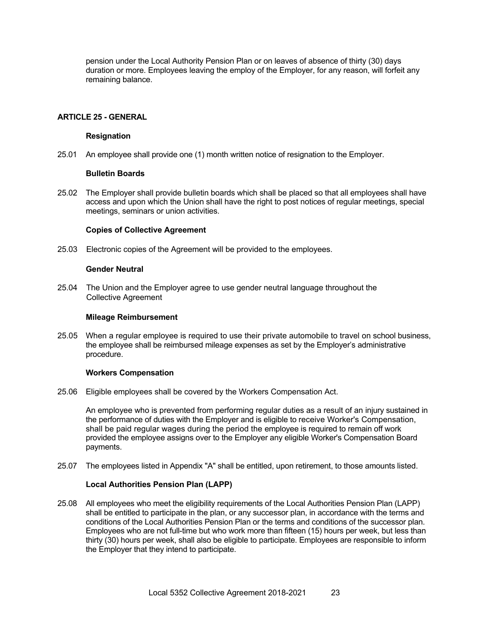pension under the Local Authority Pension Plan or on leaves of absence of thirty (30) days duration or more. Employees leaving the employ of the Employer, for any reason, will forfeit any remaining balance.

#### **ARTICLE 25 - GENERAL**

#### **Resignation**

25.01 An employee shall provide one (1) month written notice of resignation to the Employer.

#### **Bulletin Boards**

25.02 The Employer shall provide bulletin boards which shall be placed so that all employees shall have access and upon which the Union shall have the right to post notices of regular meetings, special meetings, seminars or union activities.

#### **Copies of Collective Agreement**

25.03 Electronic copies of the Agreement will be provided to the employees.

#### **Gender Neutral**

25.04 The Union and the Employer agree to use gender neutral language throughout the Collective Agreement

#### **Mileage Reimbursement**

25.05 When a regular employee is required to use their private automobile to travel on school business, the employee shall be reimbursed mileage expenses as set by the Employer's administrative procedure.

#### **Workers Compensation**

25.06 Eligible employees shall be covered by the Workers Compensation Act.

An employee who is prevented from performing regular duties as a result of an injury sustained in the performance of duties with the Employer and is eligible to receive Worker's Compensation, shall be paid regular wages during the period the employee is required to remain off work provided the employee assigns over to the Employer any eligible Worker's Compensation Board payments.

25.07 The employees listed in Appendix "A" shall be entitled, upon retirement, to those amounts listed.

#### **Local Authorities Pension Plan (LAPP)**

25.08 All employees who meet the eligibility requirements of the Local Authorities Pension Plan (LAPP) shall be entitled to participate in the plan, or any successor plan, in accordance with the terms and conditions of the Local Authorities Pension Plan or the terms and conditions of the successor plan. Employees who are not full-time but who work more than fifteen (15) hours per week, but less than thirty (30) hours per week, shall also be eligible to participate. Employees are responsible to inform the Employer that they intend to participate.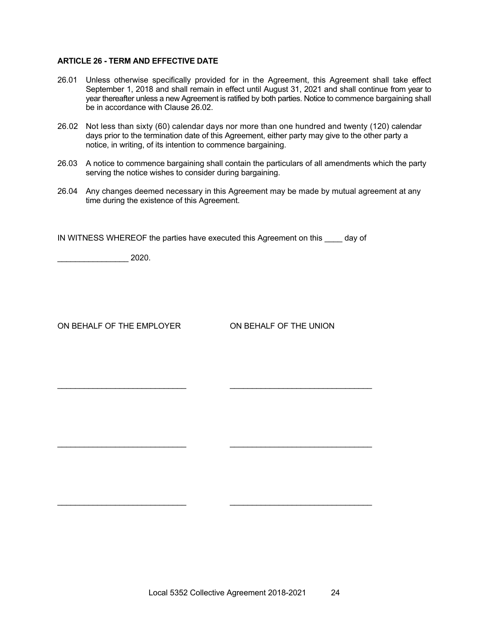#### **ARTICLE 26 - TERM AND EFFECTIVE DATE**

- 26.01 Unless otherwise specifically provided for in the Agreement, this Agreement shall take effect September 1, 2018 and shall remain in effect until August 31, 2021 and shall continue from year to year thereafter unless a new Agreement is ratified by both parties. Notice to commence bargaining shall be in accordance with Clause 26.02.
- 26.02 Not less than sixty (60) calendar days nor more than one hundred and twenty (120) calendar days prior to the termination date of this Agreement, either party may give to the other party a notice, in writing, of its intention to commence bargaining.
- 26.03 A notice to commence bargaining shall contain the particulars of all amendments which the party serving the notice wishes to consider during bargaining.
- 26.04 Any changes deemed necessary in this Agreement may be made by mutual agreement at any time during the existence of this Agreement.

IN WITNESS WHEREOF the parties have executed this Agreement on this day of

 $\mathcal{L}_\text{max}$  , and the set of the set of the set of the set of the set of the set of the set of the set of the set of

\_\_\_\_\_\_\_\_\_\_\_\_\_\_\_\_\_\_\_\_\_\_\_\_\_\_\_\_\_ \_\_\_\_\_\_\_\_\_\_\_\_\_\_\_\_\_\_\_\_\_\_\_\_\_\_\_\_\_\_\_\_

\_\_\_\_\_\_\_\_\_\_\_\_\_\_\_\_\_\_\_\_\_\_\_\_\_\_\_\_\_ \_\_\_\_\_\_\_\_\_\_\_\_\_\_\_\_\_\_\_\_\_\_\_\_\_\_\_\_\_\_\_\_

 $2020.$ 

ON BEHALF OF THE EMPLOYER ON BEHALF OF THE UNION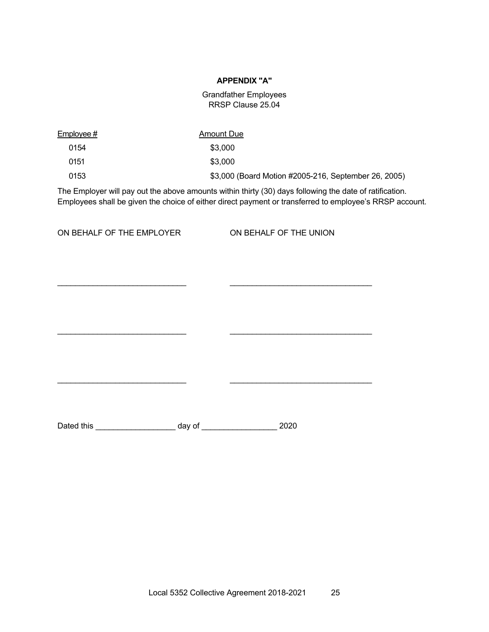#### **APPENDIX "A"**

#### Grandfather Employees RRSP Clause 25.04

| <u>Employee #</u> | Amount Due                                           |
|-------------------|------------------------------------------------------|
| 0154              | \$3,000                                              |
| 0151              | \$3,000                                              |
| 0153              | \$3,000 (Board Motion #2005-216, September 26, 2005) |

\_\_\_\_\_\_\_\_\_\_\_\_\_\_\_\_\_\_\_\_\_\_\_\_\_\_\_\_\_ \_\_\_\_\_\_\_\_\_\_\_\_\_\_\_\_\_\_\_\_\_\_\_\_\_\_\_\_\_\_\_\_

 $\mathcal{L}_\text{max}$  , and the set of the set of the set of the set of the set of the set of the set of the set of the set of

 $\frac{1}{2}$  ,  $\frac{1}{2}$  ,  $\frac{1}{2}$  ,  $\frac{1}{2}$  ,  $\frac{1}{2}$  ,  $\frac{1}{2}$  ,  $\frac{1}{2}$  ,  $\frac{1}{2}$  ,  $\frac{1}{2}$  ,  $\frac{1}{2}$  ,  $\frac{1}{2}$  ,  $\frac{1}{2}$  ,  $\frac{1}{2}$  ,  $\frac{1}{2}$  ,  $\frac{1}{2}$  ,  $\frac{1}{2}$  ,  $\frac{1}{2}$  ,  $\frac{1}{2}$  ,  $\frac{1$ 

The Employer will pay out the above amounts within thirty (30) days following the date of ratification. Employees shall be given the choice of either direct payment or transferred to employee's RRSP account.

ON BEHALF OF THE EMPLOYER ON BEHALF OF THE UNION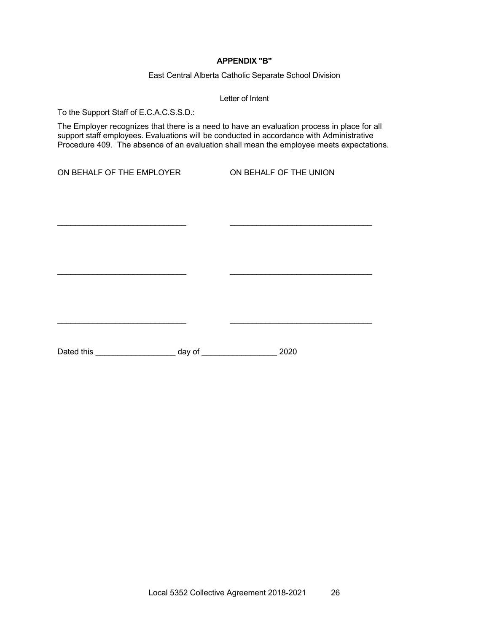#### **APPENDIX "B"**

East Central Alberta Catholic Separate School Division

Letter of Intent

To the Support Staff of E.C.A.C.S.S.D.:

The Employer recognizes that there is a need to have an evaluation process in place for all support staff employees. Evaluations will be conducted in accordance with Administrative Procedure 409. The absence of an evaluation shall mean the employee meets expectations.

\_\_\_\_\_\_\_\_\_\_\_\_\_\_\_\_\_\_\_\_\_\_\_\_\_\_\_\_\_ \_\_\_\_\_\_\_\_\_\_\_\_\_\_\_\_\_\_\_\_\_\_\_\_\_\_\_\_\_\_\_\_

 $\mathcal{L}_\text{max}$  , and the set of the set of the set of the set of the set of the set of the set of the set of the set of

 $\frac{1}{2}$  ,  $\frac{1}{2}$  ,  $\frac{1}{2}$  ,  $\frac{1}{2}$  ,  $\frac{1}{2}$  ,  $\frac{1}{2}$  ,  $\frac{1}{2}$  ,  $\frac{1}{2}$  ,  $\frac{1}{2}$  ,  $\frac{1}{2}$  ,  $\frac{1}{2}$  ,  $\frac{1}{2}$  ,  $\frac{1}{2}$  ,  $\frac{1}{2}$  ,  $\frac{1}{2}$  ,  $\frac{1}{2}$  ,  $\frac{1}{2}$  ,  $\frac{1}{2}$  ,  $\frac{1$ 

ON BEHALF OF THE EMPLOYER ON BEHALF OF THE UNION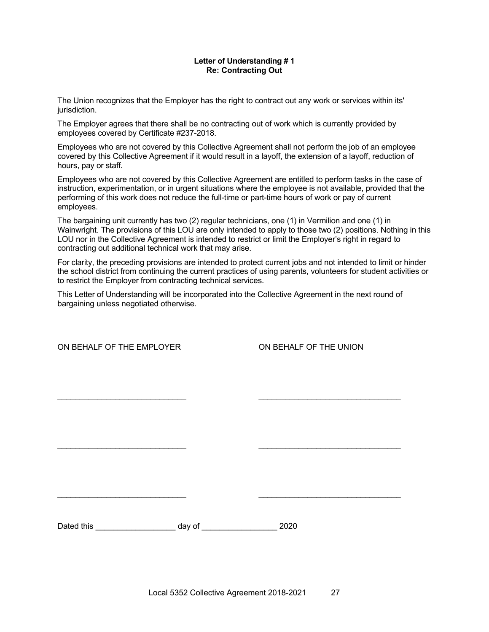#### **Letter of Understanding # 1 Re: Contracting Out**

The Union recognizes that the Employer has the right to contract out any work or services within its' jurisdiction.

The Employer agrees that there shall be no contracting out of work which is currently provided by employees covered by Certificate #237-2018.

Employees who are not covered by this Collective Agreement shall not perform the job of an employee covered by this Collective Agreement if it would result in a layoff, the extension of a layoff, reduction of hours, pay or staff.

Employees who are not covered by this Collective Agreement are entitled to perform tasks in the case of instruction, experimentation, or in urgent situations where the employee is not available, provided that the performing of this work does not reduce the full-time or part-time hours of work or pay of current employees.

The bargaining unit currently has two (2) regular technicians, one (1) in Vermilion and one (1) in Wainwright. The provisions of this LOU are only intended to apply to those two (2) positions. Nothing in this LOU nor in the Collective Agreement is intended to restrict or limit the Employer's right in regard to contracting out additional technical work that may arise.

For clarity, the preceding provisions are intended to protect current jobs and not intended to limit or hinder the school district from continuing the current practices of using parents, volunteers for student activities or to restrict the Employer from contracting technical services.

This Letter of Understanding will be incorporated into the Collective Agreement in the next round of bargaining unless negotiated otherwise.

\_\_\_\_\_\_\_\_\_\_\_\_\_\_\_\_\_\_\_\_\_\_\_\_\_\_\_\_\_ \_\_\_\_\_\_\_\_\_\_\_\_\_\_\_\_\_\_\_\_\_\_\_\_\_\_\_\_\_\_\_\_

 $\mathcal{L}_\text{max}$  , and the contribution of the contribution of the contribution of the contribution of the contribution of the contribution of the contribution of the contribution of the contribution of the contribution of t

 $\mathcal{L}_\text{max}$  , and the contribution of the contribution of the contribution of the contribution of the contribution of the contribution of the contribution of the contribution of the contribution of the contribution of t

ON BEHALF OF THE EMPLOYER **ON BEHALF OF THE UNION**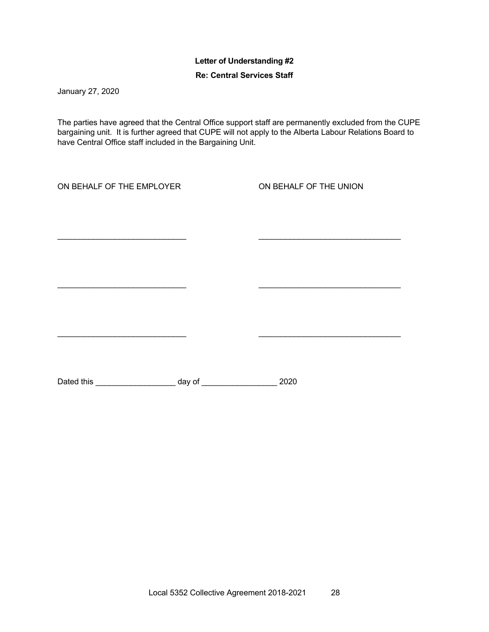## **Letter of Understanding #2**

### **Re: Central Services Staff**

January 27, 2020

The parties have agreed that the Central Office support staff are permanently excluded from the CUPE bargaining unit. It is further agreed that CUPE will not apply to the Alberta Labour Relations Board to have Central Office staff included in the Bargaining Unit.

 $\mathcal{L}_\text{max}$  , and the contribution of the contribution of the contribution of the contribution of the contribution of the contribution of the contribution of the contribution of the contribution of the contribution of t

 $\mathcal{L}_\text{max}$  , and the contribution of the contribution of the contribution of the contribution of the contribution of the contribution of the contribution of the contribution of the contribution of the contribution of t

\_\_\_\_\_\_\_\_\_\_\_\_\_\_\_\_\_\_\_\_\_\_\_\_\_\_\_\_\_ \_\_\_\_\_\_\_\_\_\_\_\_\_\_\_\_\_\_\_\_\_\_\_\_\_\_\_\_\_\_\_\_

ON BEHALF OF THE EMPLOYER ON BEHALF OF THE UNION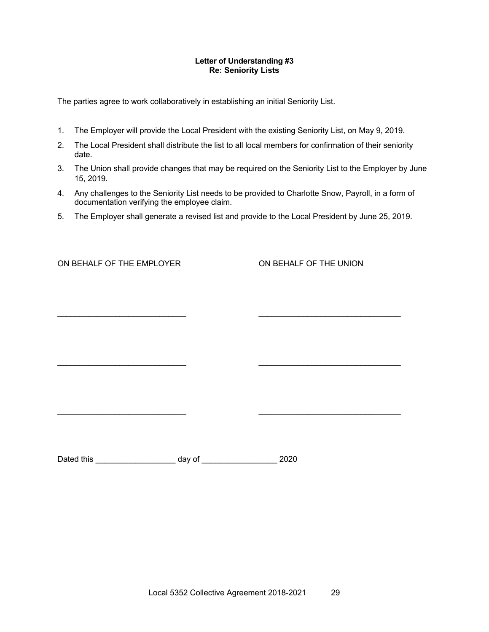#### **Letter of Understanding #3 Re: Seniority Lists**

The parties agree to work collaboratively in establishing an initial Seniority List.

- 1. The Employer will provide the Local President with the existing Seniority List, on May 9, 2019.
- 2. The Local President shall distribute the list to all local members for confirmation of their seniority date.
- 3. The Union shall provide changes that may be required on the Seniority List to the Employer by June 15, 2019.
- 4. Any challenges to the Seniority List needs to be provided to Charlotte Snow, Payroll, in a form of documentation verifying the employee claim.
- 5. The Employer shall generate a revised list and provide to the Local President by June 25, 2019.

\_\_\_\_\_\_\_\_\_\_\_\_\_\_\_\_\_\_\_\_\_\_\_\_\_\_\_\_\_ \_\_\_\_\_\_\_\_\_\_\_\_\_\_\_\_\_\_\_\_\_\_\_\_\_\_\_\_\_\_\_\_

 $\mathcal{L}_\text{max}$  , and the contribution of the contribution of the contribution of the contribution of the contribution of the contribution of the contribution of the contribution of the contribution of the contribution of t

 $\mathcal{L}_\text{max}$  , and the contribution of the contribution of the contribution of the contribution of the contribution of the contribution of the contribution of the contribution of the contribution of the contribution of t

ON BEHALF OF THE EMPLOYER **CONDUCT ON BEHALF OF THE UNION**